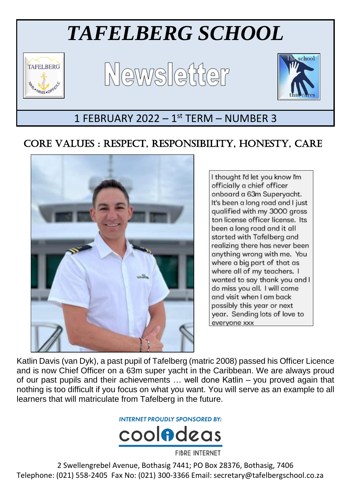# *TAFELBERG SCHOOL*



Ξ





# 1 FEBRUARY 2022 - 1st TERM - NUMBER 3

# CORE VALUES : RESPECT, RESPONSIBILITY, HONESTY, CARE



I thought I'd let you know I'm officially a chief officer onboard a 63m Superyacht. It's been a long road and I just qualified with my 3000 gross ton license officer license. Its been a long road and it all started with Tafelberg and realizing there has never been anything wrong with me. You where a big part of that as where all of my teachers. I wanted to say thank you and I do miss you all. I will come and visit when I am back possibly this year or next year. Sending lots of love to everyone xxx

Katlin Davis (van Dyk), a past pupil of Tafelberg (matric 2008) passed his Officer Licence and is now Chief Officer on a 63m super yacht in the Caribbean. We are always proud of our past pupils and their achievements … well done Katlin – you proved again that nothing is too difficult if you focus on what you want. You will serve as an example to all learners that will matriculate from Tafelberg in the future.

**INTERNET PROUDLY SPONSORED BY:** 



**FIBRE INTERNET** 

2 Swellengrebel Avenue, Bothasig 7441; PO Box 28376, Bothasig, 7406 Telephone: (021) 558-2405 Fax No: (021) 300-3366 Email: secretary@tafelbergschool.co.za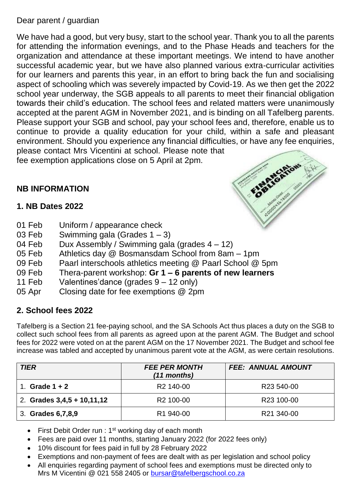## Dear parent / guardian

We have had a good, but very busy, start to the school year. Thank you to all the parents for attending the information evenings, and to the Phase Heads and teachers for the organization and attendance at these important meetings. We intend to have another successful academic year, but we have also planned various extra-curricular activities for our learners and parents this year, in an effort to bring back the fun and socialising aspect of schooling which was severely impacted by Covid-19. As we then get the 2022 school year underway, the SGB appeals to all parents to meet their financial obligation towards their child's education. The school fees and related matters were unanimously accepted at the parent AGM in November 2021, and is binding on all Tafelberg parents. Please support your SGB and school, pay your school fees and, therefore, enable us to continue to provide a quality education for your child, within a safe and pleasant environment. Should you experience any financial difficulties, or have any fee enquiries, please contact Mrs Vicentini at school. Please note that

fee exemption applications close on 5 April at 2pm.



# **NB INFORMATION**

## **1. NB Dates 2022**

- 01 Feb Uniform / appearance check
- 03 Feb Swimming gala (Grades 1 3)
- 04 Feb Dux Assembly / Swimming gala (grades  $4 12$ )
- 05 Feb Athletics day @ Bosmansdam School from 8am 1pm
- 09 Feb Paarl interschools athletics meeting @ Paarl School @ 5pm
- 09 Feb Thera-parent workshop: **Gr 1 – 6 parents of new learners**
- 11 Feb Valentines'dance (grades 9 12 only)
- 05 Apr Closing date for fee exemptions @ 2pm

## **2. School fees 2022**

Tafelberg is a Section 21 fee-paying school, and the SA Schools Act thus places a duty on the SGB to collect such school fees from all parents as agreed upon at the parent AGM. The Budget and school fees for 2022 were voted on at the parent AGM on the 17 November 2021. The Budget and school fee increase was tabled and accepted by unanimous parent vote at the AGM, as were certain resolutions.

| <b>TIER</b>                  | <b>FEE PER MONTH</b><br>(11 months) | <b>FEE: ANNUAL AMOUNT</b> |
|------------------------------|-------------------------------------|---------------------------|
| Grade $1 + 2$                | R <sub>2</sub> 140-00               | R <sub>23</sub> 540-00    |
| 2. Grades $3,4,5 + 10,11,12$ | R <sub>2</sub> 100-00               | R23 100-00                |
| 3. Grades 6,7,8,9            | R <sub>1</sub> 940-00               | R21 340-00                |

- First Debit Order run : 1<sup>st</sup> working day of each month
- Fees are paid over 11 months, starting January 2022 (for 2022 fees only)
- 10% discount for fees paid in full by 28 February 2022
- Exemptions and non-payment of fees are dealt with as per legislation and school policy
- All enquiries regarding payment of school fees and exemptions must be directed only to Mrs M Vicentini @ 021 558 2405 or [bursar@tafelbergschool.co.za](mailto:bursar@tafelbergschool.co.za)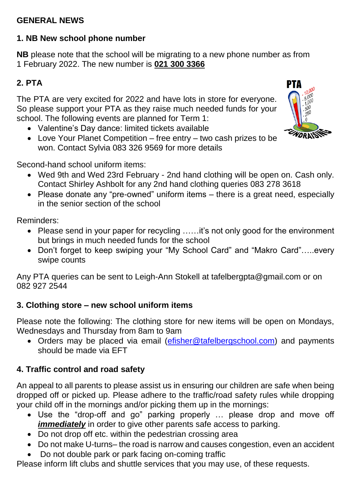## **GENERAL NEWS**

## **1. NB New school phone number**

**NB** please note that the school will be migrating to a new phone number as from 1 February 2022. The new number is **021 300 3366**

# **2. PTA**

The PTA are very excited for 2022 and have lots in store for everyone. So please support your PTA as they raise much needed funds for your school. The following events are planned for Term 1:

- Valentine's Day dance: limited tickets available
- Love Your Planet Competition free entry two cash prizes to be won. Contact Sylvia 083 326 9569 for more details

Second-hand school uniform items:

- Wed 9th and Wed 23rd February 2nd hand clothing will be open on. Cash only. Contact Shirley Ashbolt for any 2nd hand clothing queries 083 278 3618
- Please donate any "pre-owned" uniform items there is a great need, especially in the senior section of the school

Reminders:

- Please send in your paper for recycling .....it's not only good for the environment but brings in much needed funds for the school
- Don't forget to keep swiping your "My School Card" and "Makro Card"…..every swipe counts

Any PTA queries can be sent to Leigh-Ann Stokell at tafelbergpta@gmail.com or on 082 927 2544

## **3. Clothing store – new school uniform items**

Please note the following: The clothing store for new items will be open on Mondays, Wednesdays and Thursday from 8am to 9am

• Orders may be placed via email [\(efisher@tafelbergschool.com\)](mailto:efisher@tafelbergschool.com) and payments should be made via EFT

# **4. Traffic control and road safety**

An appeal to all parents to please assist us in ensuring our children are safe when being dropped off or picked up. Please adhere to the traffic/road safety rules while dropping your child off in the mornings and/or picking them up in the mornings:

- Use the "drop-off and go" parking properly … please drop and move off *immediately* in order to give other parents safe access to parking.
- Do not drop off etc. within the pedestrian crossing area
- Do not make U-turns– the road is narrow and causes congestion, even an accident
- Do not double park or park facing on-coming traffic

Please inform lift clubs and shuttle services that you may use, of these requests.

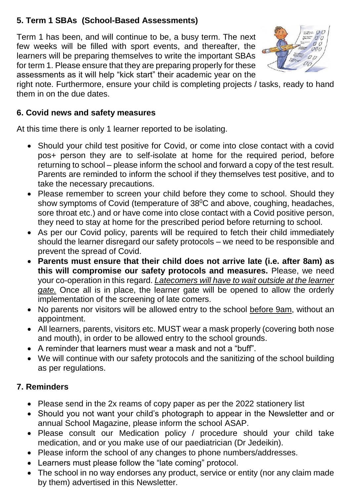# **5. Term 1 SBAs (School-Based Assessments)**

Term 1 has been, and will continue to be, a busy term. The next few weeks will be filled with sport events, and thereafter, the learners will be preparing themselves to write the important SBAs for term 1. Please ensure that they are preparing properly for these assessments as it will help "kick start" their academic year on the



right note. Furthermore, ensure your child is completing projects / tasks, ready to hand them in on the due dates.

## **6. Covid news and safety measures**

At this time there is only 1 learner reported to be isolating.

- Should your child test positive for Covid, or come into close contact with a covid pos+ person they are to self-isolate at home for the required period, before returning to school – please inform the school and forward a copy of the test result. Parents are reminded to inform the school if they themselves test positive, and to take the necessary precautions.
- Please remember to screen your child before they come to school. Should they show symptoms of Covid (temperature of  $38^{\circ}$ C and above, coughing, headaches, sore throat etc.) and or have come into close contact with a Covid positive person, they need to stay at home for the prescribed period before returning to school.
- As per our Covid policy, parents will be required to fetch their child immediately should the learner disregard our safety protocols – we need to be responsible and prevent the spread of Covid.
- **Parents must ensure that their child does not arrive late (i.e. after 8am) as this will compromise our safety protocols and measures.** Please, we need your co-operation in this regard. *Latecomers will have to wait outside at the learner gate.* Once all is in place, the learner gate will be opened to allow the orderly implementation of the screening of late comers.
- No parents nor visitors will be allowed entry to the school before 9am, without an appointment.
- All learners, parents, visitors etc. MUST wear a mask properly (covering both nose and mouth), in order to be allowed entry to the school grounds.
- A reminder that learners must wear a mask and not a "buff".
- We will continue with our safety protocols and the sanitizing of the school building as per regulations.

# **7. Reminders**

- Please send in the 2x reams of copy paper as per the 2022 stationery list
- Should you not want your child's photograph to appear in the Newsletter and or annual School Magazine, please inform the school ASAP.
- Please consult our Medication policy / procedure should your child take medication, and or you make use of our paediatrician (Dr Jedeikin).
- Please inform the school of any changes to phone numbers/addresses.
- Learners must please follow the "late coming" protocol.
- The school in no way endorses any product, service or entity (nor any claim made by them) advertised in this Newsletter.